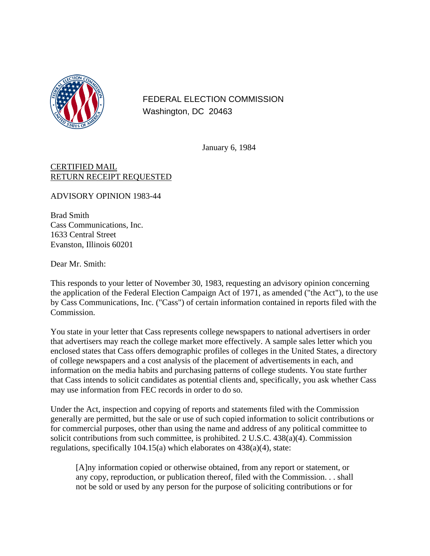

FEDERAL ELECTION COMMISSION Washington, DC 20463

January 6, 1984

## CERTIFIED MAIL RETURN RECEIPT REQUESTED

ADVISORY OPINION 1983-44

Brad Smith Cass Communications, Inc. 1633 Central Street Evanston, Illinois 60201

Dear Mr. Smith:

This responds to your letter of November 30, 1983, requesting an advisory opinion concerning the application of the Federal Election Campaign Act of 1971, as amended ("the Act"), to the use by Cass Communications, Inc. ("Cass") of certain information contained in reports filed with the Commission.

You state in your letter that Cass represents college newspapers to national advertisers in order that advertisers may reach the college market more effectively. A sample sales letter which you enclosed states that Cass offers demographic profiles of colleges in the United States, a directory of college newspapers and a cost analysis of the placement of advertisements in each, and information on the media habits and purchasing patterns of college students. You state further that Cass intends to solicit candidates as potential clients and, specifically, you ask whether Cass may use information from FEC records in order to do so.

Under the Act, inspection and copying of reports and statements filed with the Commission generally are permitted, but the sale or use of such copied information to solicit contributions or for commercial purposes, other than using the name and address of any political committee to solicit contributions from such committee, is prohibited. 2 U.S.C. 438(a)(4). Commission regulations, specifically 104.15(a) which elaborates on 438(a)(4), state:

[A]ny information copied or otherwise obtained, from any report or statement, or any copy, reproduction, or publication thereof, filed with the Commission. . . shall not be sold or used by any person for the purpose of soliciting contributions or for